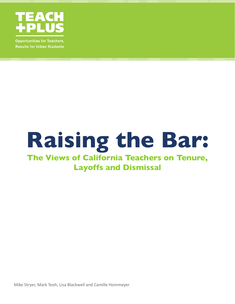

**Opportunities for Teachers, Results for Urban Students** 

# **Raising the Bar:**

# **The Views of California Teachers on Tenure, Layoffs and Dismissal**

Mike Stryer, Mark Teoh, Lisa Blackwell and Camille Hommeyer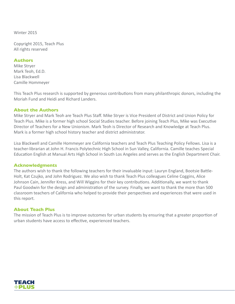Winter 2015

Copyright 2015, Teach Plus All rights reserved

#### **Authors**

Mike Stryer Mark Teoh, Ed.D. Lisa Blackwell Camille Hommeyer

This Teach Plus research is supported by generous contributions from many philanthropic donors, including the Moriah Fund and Heidi and Richard Landers.

#### **About the Authors**

Mike Stryer and Mark Teoh are Teach Plus Staff. Mike Stryer is Vice President of District and Union Policy for Teach Plus. Mike is a former high school Social Studies teacher. Before joining Teach Plus, Mike was Executive Director of Teachers for a New Unionism. Mark Teoh is Director of Research and Knowledge at Teach Plus. Mark is a former high school history teacher and district administrator.

Lisa Blackwell and Camille Hommeyer are California teachers and Teach Plus Teaching Policy Fellows. Lisa is a teacher-librarian at John H. Francis Polytechnic High School in Sun Valley, California. Camille teaches Special Education English at Manual Arts High School in South Los Angeles and serves as the English Department Chair.

#### **Acknowledgments**

The authors wish to thank the following teachers for their invaluable input: Lauryn England, Bootsie Battle-Holt, Kat Czujko, and John Rodriguez. We also wish to thank Teach Plus colleagues Celine Coggins, Alice Johnson Cain, Jennifer Kress, and Will Wiggins for their key contributions. Additionally, we want to thank Paul Goodwin for the design and administration of the survey. Finally, we want to thank the more than 500 classroom teachers of California who helped to provide their perspectives and experiences that were used in this report.

#### **About Teach Plus**

The mission of Teach Plus is to improve outcomes for urban students by ensuring that a greater proportion of urban students have access to effective, experienced teachers.

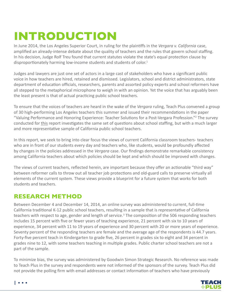# **INTRODUCTION**

In June 2014, the Los Angeles Superior Court, in ruling for the plaintiffs in the *Vergara v. California* case, amplified an already-intense debate about the quality of teachers and the rules that govern school staffing. In his decision, Judge Rolf Treu found that current statutes violate the state's equal protection clause by disproportionately harming low-income students and students of color.<sup>1</sup>

Judges and lawyers are just one set of actors in a large cast of stakeholders who have a significant public voice in how teachers are hired, retained and dismissed. Legislators, school and district administrators, state department of education officials, researchers, parents and assorted policy experts and school reformers have all stepped to the metaphorical microphone to weigh in with an opinion. Yet the voice that has arguably been the least present is that of actual practicing public school teachers.

To ensure that the voices of teachers are heard in the wake of the *Vergara* ruling, Teach Plus convened a group of 30 high-performing Los Angeles teachers this summer and issued their recommendations in the paper "Valuing Performance and Honoring Experience: Teacher Solutions for a Post-Vergara Profession."<sup>2</sup> The survey conducted for this report investigates the same set of questions about school staffing, but with a much larger and more representative sample of California public school teachers.

In this report, we seek to bring into clear focus the views of current California classroom teachers- teachers who are in front of our students every day and teachers who, like students, would be profoundly affected by changes in the policies addressed in the *Vergara* case. Our findings demonstrate remarkable consistency among California teachers about which policies should be kept and which should be improved with changes.

The views of current teachers, reflected herein, are important because they offer an actionable "third way" between reformer calls to throw out all teacher job protections and old-guard calls to preserve virtually all elements of the current system. These views provide a blueprint for a future system that works for both students and teachers.

# **RESEARCH METHOD**

Between December 4 and December 14, 2014, an online survey was administered to current, full-time California traditional K-12 public school teachers, resulting in a sample that is representative of California teachers with respect to age, gender and length of service.<sup>3</sup> The composition of the 506 responding teachers includes 15 percent with five or fewer years of teaching experience, 21 percent with six to 10 years of experience, 34 percent with 11 to 19 years of experience and 30 percent with 20 or more years of experience. Seventy percent of the responding teachers are female and the average age of the respondents is 44.7 years. Forty-five percent teach in Kindergarten to grade five, 26 percent in grades six to eight and 34 percent in grades nine to 12, with some teachers teaching in multiple grades. Public charter school teachers are not a part of the sample.

To minimize bias, the survey was administered by Goodwin Simon Strategic Research. No reference was made to Teach Plus in the survey and respondents were not informed of the sponsors of the survey. Teach Plus did not provide the polling firm with email addresses or contact information of teachers who have previously



 $| \cdot \cdot \cdot \cdot$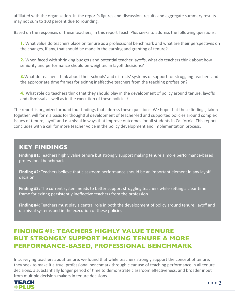affiliated with the organization. In the report's figures and discussion, results and aggregate summary results may not sum to 100 percent due to rounding.

Based on the responses of these teachers, in this report Teach Plus seeks to address the following questions:

**1.** What value do teachers place on tenure as a professional benchmark and what are their perspectives on the changes, if any, that should be made in the earning and granting of tenure?

**2.** When faced with shrinking budgets and potential teacher layoffs, what do teachers think about how seniority and performance should be weighted in layoff decisions?

**3.** What do teachers think about their schools' and districts' systems of support for struggling teachers and the appropriate time frames for exiting ineffective teachers from the teaching profession?

**4.** What role do teachers think that they should play in the development of policy around tenure, layoffs and dismissal as well as in the execution of these policies?

The report is organized around four findings that address these questions. We hope that these findings, taken together, will form a basis for thoughtful development of teacher-led and supported policies around complex issues of tenure, layoff and dismissal in ways that improve outcomes for all students in California. This report concludes with a call for more teacher voice in the policy development and implementation process.

# **KEY FINDINGS**

**Finding #1:** Teachers highly value tenure but strongly support making tenure a more performance-based, professional benchmark

**Finding #2:** Teachers believe that classroom performance should be an important element in any layoff decision

**Finding #3:** The current system needs to better support struggling teachers while setting a clear time frame for exiting persistently ineffective teachers from the profession

**Finding #4:** Teachers must play a central role in both the development of policy around tenure, layoff and dismissal systems and in the execution of these policies

# **FINDING #1: TEACHERS HIGHLY VALUE TENURE BUT STRONGLY SUPPORT MAKING TENURE A MORE PERFORMANCE-BASED, PROFESSIONAL BENCHMARK**

In surveying teachers about tenure, we found that while teachers strongly support the concept of tenure, they seek to make it a true, professional benchmark through clear use of teaching performance in all tenure decisions, a substantially longer period of time to demonstrate classroom effectiveness, and broader input from multiple decision-makers in tenure decisions.

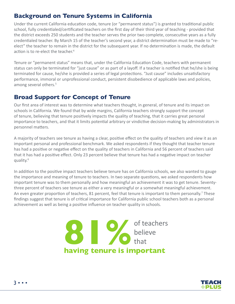#### **Background on Tenure Systems in California**

Under the current California education code, tenure (or "permanent status") is granted to traditional public school, fully credentialed/certificated teachers on the first day of their third year of teaching - provided that the district exceeds 250 students and the teacher serves the prior two complete, consecutive years as a fully credentialed teacher. By March 15 of the teacher's second year, a district determination must be made to "reelect" the teacher to remain in the district for the subsequent year. If no determination is made, the default action is to re-elect the teacher.<sup>4</sup>

Tenure or "permanent status" means that, under the California Education Code, teachers with permanent status can only be terminated for "just cause" or as part of a layoff. If a teacher is notified that he/she is being terminated for cause, he/she is provided a series of legal protections. "Just cause" includes unsatisfactory performance, immoral or unprofessional conduct, persistent disobedience of applicable laws and policies, among several others.<sup>5</sup>

#### **Broad Support for Concept of Tenure**

Our first area of interest was to determine what teachers thought, in general, of tenure and its impact on schools in California. We found that by wide margins, California teachers strongly support the concept of tenure, believing that tenure positively impacts the quality of teaching, that it carries great personal importance to teachers, and that it limits potential arbitrary or vindictive decision-making by administrators in personnel matters.

A majority of teachers see tenure as having a clear, positive effect on the quality of teachers and view it as an important personal and professional benchmark. We asked respondents if they thought that teacher tenure has had a positive or negative effect on the quality of teachers in California and 56 percent of teachers said that it has had a positive effect. Only 23 percent believe that tenure has had a negative impact on teacher quality.6

In addition to the positive impact teachers believe tenure has on California schools, we also wanted to gauge the importance and meaning of tenure to teachers. In two separate questions, we asked respondents how important tenure was to them personally and how meaningful an achievement it was to get tenure. Seventythree percent of teachers see tenure as either a very meaningful or a somewhat meaningful achievement. An even greater proportion of teachers, 81 percent, feel that tenure is important to them personally.<sup>7</sup> These findings suggest that tenure is of critical importance for California public school teachers both as a personal achievement as well as being a positive influence on teacher quality in schools.



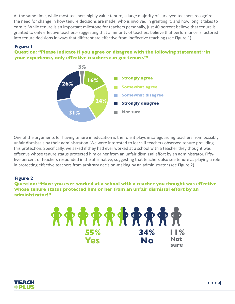At the same time, while most teachers highly value tenure, a large majority of surveyed teachers recognize the need for change in how tenure decisions are made, who is involved in granting it, and how long it takes to earn it. While tenure is an important milestone for teachers personally, just 40 percent believe that tenure is granted to only effective teachers- suggesting that a minority of teachers believe that performance is factored into tenure decisions in ways that differentiate effective from ineffective teaching (see Figure 1).

#### **Figure 1**

#### **Question: "Please indicate if you agree or disagree with the following statement: 'In your experience, only effective teachers can get tenure.'"**



One of the arguments for having tenure in education is the role it plays in safeguarding teachers from possibly unfair dismissals by their administration. We were interested to learn if teachers observed tenure providing this protection. Specifically, we asked if they had ever worked at a school with a teacher they thought was effective whose tenure status protected him or her from an unfair dismissal effort by an administrator. Fiftyfive percent of teachers responded in the affirmative, suggesting that teachers also see tenure as playing a role in protecting effective teachers from arbitrary decision-making by an administrator (see Figure 2).

#### **Figure 2**

**Question: "Have you ever worked at a school with a teacher you thought was effective whose tenure status protected him or her from an unfair dismissal effort by an administrator?"**

> **RRRRRRRRRR 55% 34% 11% Yes No** Not **Not No sure**

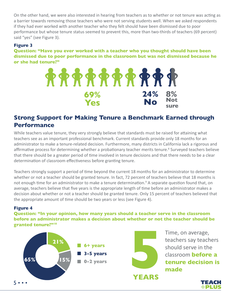On the other hand, we were also interested in hearing from teachers as to whether or not tenure was acting as a barrier towards removing those teachers who were not serving students well. When we asked respondents if they had ever worked with another teacher who they felt should have been dismissed due to poor performance but whose tenure status seemed to prevent this, more than two-thirds of teachers (69 percent) said "yes" (see Figure 3).

#### **Figure 3**

**Question: "Have you ever worked with a teacher who you thought should have been dismissed due to poor performance in the classroom but was not dismissed because he or she had tenure?"**



# **Strong Support for Making Tenure a Benchmark Earned through Performance**

While teachers value tenure, they very strongly believe that standards must be raised for attaining what teachers see as an important professional benchmark. Current standards provide only 18 months for an administrator to make a tenure-related decision. Furthermore, many districts in California lack a rigorous and affirmative process for determining whether a probationary teacher merits tenure.<sup>8</sup> Surveyed teachers believe that there should be a greater period of time involved in tenure decisions and that there needs to be a clear determination of classroom effectiveness before granting tenure.

Teachers strongly support a period of time beyond the current 18 months for an administrator to determine whether or not a teacher should be granted tenure. In fact, 72 percent of teachers believe that 18 months is not enough time for an administrator to make a tenure determination.<sup>9</sup> A separate question found that, on average, teachers believe that five years is the appropriate length of time before an administrator makes a decision about whether or not a teacher should be granted tenure. Only 15 percent of teachers believed that the appropriate amount of time should be two years or less (see Figure 4).

#### **Figure 4**

**Question: "In your opinion, how many years should a teacher serve in the classroom before an administrator makes a decision about whether or not the teacher should be granted tenure?"10**



Time, on average, teachers say teachers should serve in the classroom **before a tenure decision is made**

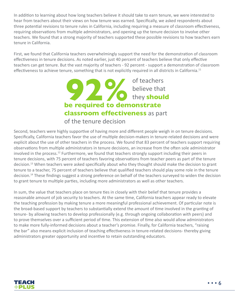In addition to learning about how long teachers believe it should take to earn tenure, we were interested to hear from teachers about their views on how tenure was earned. Specifically, we asked respondents about three potential revisions to tenure rules in California, including requiring a measure of classroom effectiveness, requiring observations from multiple administrators, and opening up the tenure decision to involve other teachers. We found that a strong majority of teachers supported these possible revisions to how teachers earn tenure in California.

First, we found that California teachers overwhelmingly support the need for the demonstration of classroom effectiveness in tenure decisions. As noted earlier, just 40 percent of teachers believe that only effective teachers can get tenure. But the vast majority of teachers - 92 percent - support a demonstration of classroom effectiveness to achieve tenure, something that is not explicitly required in all districts in California.<sup>11</sup>



Second, teachers were highly supportive of having more and different people weigh in on tenure decisions. Specifically, California teachers favor the use of multiple decision-makers in tenure-related decisions and were explicit about the use of other teachers in the process. We found that 83 percent of teachers support requiring observations from multiple administrators in tenure decisions, an increase from the often sole administrator involved in the process.<sup>12</sup> Furthermore, we found that teachers strongly support including their peers in tenure decisions, with 75 percent of teachers favoring observations from teacher peers as part of the tenure decision.<sup>13</sup> When teachers were asked specifically about who they thought should make the decision to grant tenure to a teacher, 75 percent of teachers believe that qualified teachers should play some role in the tenure decision.14 These findings suggest a strong preference on behalf of the teachers surveyed to widen the decision to grant tenure to multiple parties, including more administrators as well as other teachers.

In sum, the value that teachers place on tenure ties in closely with their belief that tenure provides a reasonable amount of job security to teachers. At the same time, California teachers appear ready to elevate the teaching profession by making tenure a more meaningful professional achievement. Of particular note is the broad-based support by teachers to substantially extend the amount of time involved in the granting of tenure- by allowing teachers to develop professionally (e.g. through ongoing collaboration with peers) and to prove themselves over a sufficient period of time. This extension of time also would allow administrators to make more fully-informed decisions about a teacher's promise. Finally, for California teachers, "raising the bar" also means explicit inclusion of teaching effectiveness in tenure-related decisions- thereby giving administrators greater opportunity and incentive to retain outstanding educators.

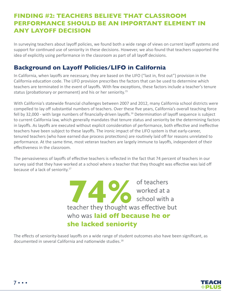# **FINDING #2: TEACHERS BELIEVE THAT CLASSROOM PERFORMANCE SHOULD BE AN IMPORTANT ELEMENT IN ANY LAYOFF DECISION**

In surveying teachers about layoff policies, we found both a wide range of views on current layoff systems and support for continued use of seniority in these decisions. However, we also found that teachers supported the idea of explicitly using performance in the classroom as part of all layoff decisions.

# **Background on Layoff Policies/LIFO in California**

In California, when layoffs are necessary, they are based on the LIFO ("last in, first out") provision in the California education code. The LIFO provision prescribes the factors that can be used to determine which teachers are terminated in the event of layoffs. With few exceptions, these factors include a teacher's tenure status (probationary or permanent) and his or her seniority.<sup>15</sup>

With California's statewide financial challenges between 2007 and 2012, many California school districts were compelled to lay off substantial numbers of teachers. Over these five years, California's overall teaching force fell by 32,000 - with large numbers of financially-driven layoffs.<sup>16</sup> Determination of layoff sequence is subject to current California law, which generally mandates that tenure status and seniority be the determining factors in layoffs. As layoffs are executed without explicit consideration of performance, both effective and ineffective teachers have been subject to these layoffs. The ironic impact of the LIFO system is that early-career, tenured teachers (who have earned due process protections) are routinely laid off for reasons unrelated to performance. At the same time, most veteran teachers are largely immune to layoffs, independent of their effectiveness in the classroom.

The pervasiveness of layoffs of effective teachers is reflected in the fact that 74 percent of teachers in our survey said that they have worked at a school where a teacher that they thought was effective was laid off because of a lack of seniority.<sup>17</sup>

> **1999** of teachers<br>
> worked at a<br>
> school with a<br>
> teacher they thought was effective but who was laid off because he or she lacked seniority

The effects of seniority-based layoffs on a wide range of student outcomes also have been significant, as documented in several California and nationwide studies.18

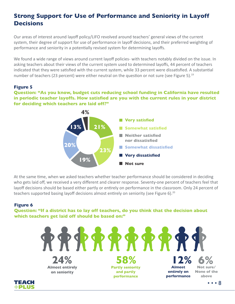# **Strong Support for Use of Performance and Seniority in Layoff Decisions**

Our areas of interest around layoff policy/LIFO revolved around teachers' general views of the current system, their degree of support for use of performance in layoff decisions, and their preferred weighting of performance and seniority in a potentially revised system for determining layoffs.

We found a wide range of views around current layoff policies- with teachers notably divided on the issue. In asking teachers about their views of the current system used to determined layoffs, 44 percent of teachers indicated that they were satisfied with the current system, while 33 percent were dissatisfied. A substantial number of teachers (23 percent) were either neutral on the question or not sure (see Figure 5).<sup>19</sup>

#### **Figure 5**

**Question: "As you know, budget cuts reducing school funding in California have resulted in periodic teacher layoffs. How satisfied are you with the current rules in your district for deciding which teachers are laid off?"**



At the same time, when we asked teachers whether teacher performance should be considered in deciding who gets laid off, we received a very different and clearer response. Seventy-one percent of teachers feel that layoff decisions should be based either partly or entirely on performance in the classroom. Only 24 percent of teachers supported basing layoff decisions almost entirely on seniority (see Figure 6).<sup>20</sup>

#### **Figure 6**

**Question: "If a district has to lay off teachers, do you think that the decision about which teachers get laid off should be based on:"**

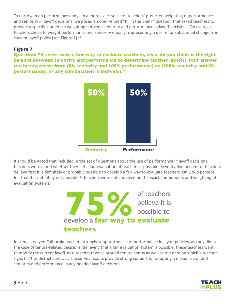To narrow in on performance and gain a more exact sense of teachers' preferred weighting of performance and seniority in layoff decisions, we posed an open-ended "fill in the blank" question that asked teachers to provide a specific numerical weighting between seniority and performance in layoff decisions. On average, teachers chose to weight performance and seniority equally- representing a desire for substantial change from current layoff policy (see Figure 7).<sup>21</sup>

#### **Figure 7**

**Question: "If there were a fair way to evaluate teachers, what do you think is the right balance between seniority and performance to determine teacher layoffs? Your answer can be anywhere from (0% seniority and 100% performance) to (100% seniority and 0% performance), or any combination in between."**



It should be noted that included in the set of questions about the use of performance in layoff decisions, teachers were asked whether they felt a fair evaluation of teachers is possible. Seventy-five percent of teachers believe that it is definitely or probably possible to develop a fair way to evaluate teachers. Only two percent felt that it is definitely not possible.<sup>22</sup> Teachers were not surveyed on the exact components and weighting of evaluation systems.



In sum, surveyed California teachers strongly support the use of performance in layoff policies, as they did in the case of tenure-related decisions. Believing that a fair evaluation system is possible, these teachers want to modify the current layoff statutes that revolve around tenure status as well as the date on which a teacher signs his/her district contract. The survey results provide strong support for adopting a mixed use of both seniority and performance in any needed layoff decisions.



9 • • •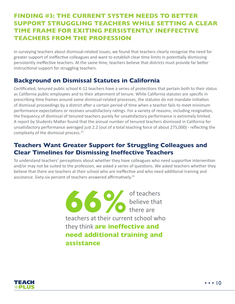# **FINDING #3: THE CURRENT SYSTEM NEEDS TO BETTER SUPPORT STRUGGLING TEACHERS WHILE SETTING A CLEAR TIME FRAME FOR EXITING PERSISTENTLY INEFFECTIVE TEACHERS FROM THE PROFESSION**

In surveying teachers about dismissal-related issues, we found that teachers clearly recognize the need for greater support of ineffective colleagues and want to establish clear time limits in potentially dismissing persistently ineffective teachers. At the same time, teachers believe that districts must provide far better instructional support for struggling teachers.

#### **Background on Dismissal Statutes in California**

Certificated, tenured public school K-12 teachers have a series of protections that pertain both to their status as California public employees and to their attainment of tenure. While California statutes are specific in prescribing time frames around some dismissal-related processes, the statutes do not mandate initiation of dismissal proceedings by a district after a certain period of time when a teacher fails to meet minimum performance expectations or receives unsatisfactory ratings. For a variety of reasons, including resignation, the frequency of dismissal of tenured teachers purely for unsatisfactory performance is extremely limited. A report by Students Matter found that the annual number of tenured teachers dismissed in California for unsatisfactory performance averaged just 2.2 (out of a total teaching force of about 275,000) - reflecting the complexity of the dismissal process.<sup>23</sup>

# **Teachers Want Greater Support for Struggling Colleagues and Clear Timelines for Dismissing Ineffective Teachers**

To understand teachers' perceptions about whether they have colleagues who need supportive intervention and/or may not be suited to the profession, we asked a series of questions. We asked teachers whether they believe that there are teachers at their school who are ineffective and who need additional training and assistance. Sixty-six percent of teachers answered affirmatively.<sup>24</sup>

> of teachers believe that there are teachers at their current school who they think **are ineffective and need additional training and assistance 666**

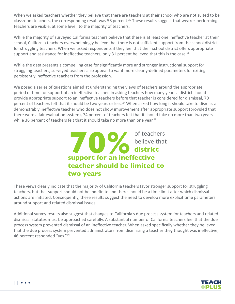When we asked teachers whether they believe that there are teachers at their school who are not suited to be classroom teachers, the corresponding result was 58 percent.<sup>25</sup> These results suggest that weaker-performing teachers are visible, at some level, to the majority of teachers.

While the majority of surveyed California teachers believe that there is at least one ineffective teacher at their school, California teachers overwhelmingly believe that there is not sufficient support from the school district for struggling teachers. When we asked respondents if they feel that their school district offers appropriate support and assistance for ineffective teachers, only 31 percent believed that this is the case.<sup>26</sup>

While the data presents a compelling case for significantly more and stronger instructional support for struggling teachers, surveyed teachers also appear to want more clearly-defined parameters for exiting persistently ineffective teachers from the profession.

We posed a series of questions aimed at understanding the views of teachers around the appropriate period of time for support of an ineffective teacher. In asking teachers how many years a district should provide appropriate support to an ineffective teachers before that teacher is considered for dismissal, 70 percent of teachers felt that it should be two years or less.<sup>27</sup> When asked how long it should take to dismiss a demonstrably ineffective teacher who does not show improvement after appropriate support (provided that there were a fair evaluation system), 74 percent of teachers felt that it should take no more than two years while 36 percent of teachers felt that it should take no more than one year.<sup>28</sup>



These views clearly indicate that the majority of California teachers favor stronger support for struggling teachers, but that support should not be indefinite and there should be a time limit after which dismissal actions are initiated. Consequently, these results suggest the need to develop more explicit time parameters around support and related dismissal issues.

Additional survey results also suggest that changes to California's due process system for teachers and related dismissal statutes must be approached carefully. A substantial number of California teachers feel that the due process system prevented dismissal of an ineffective teacher. When asked specifically whether they believed that the due process system prevented administrators from dismissing a teacher they thought was ineffective, 46 percent responded "yes."29

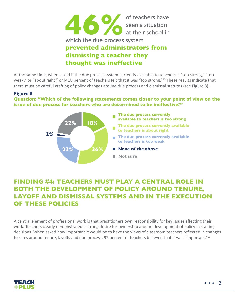

At the same time, when asked if the due process system currently available to teachers is "too strong," "too weak," or "about right," only 18 percent of teachers felt that it was "too strong."<sup>30</sup> These results indicate that there must be careful crafting of policy changes around due process and dismissal statutes (see Figure 8).

#### **Figure 8**

**Question: "Which of the following statements comes closer to your point of view on the issue of due process for teachers who are determined to be ineffective?"**



# **FINDING #4: TEACHERS MUST PLAY A CENTRAL ROLE IN BOTH THE DEVELOPMENT OF POLICY AROUND TENURE, LAYOFF AND DISMISSAL SYSTEMS AND IN THE EXECUTION OF THESE POLICIES**

A central element of professional work is that practitioners own responsibility for key issues affecting their work. Teachers clearly demonstrated a strong desire for ownership around development of policy in staffing decisions. When asked how important it would be to have the views of classroom teachers reflected in changes to rules around tenure, layoffs and due process, 92 percent of teachers believed that it was "important."<sup>31</sup>

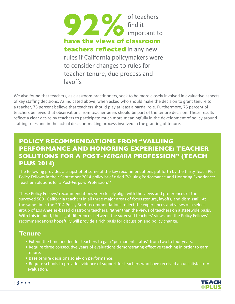

We also found that teachers, as classroom practitioners, seek to be more closely involved in evaluative aspects of key staffing decisions. As indicated above, when asked who should make the decision to grant tenure to a teacher, 75 percent believe that teachers should play at least a partial role. Furthermore, 75 percent of teachers believed that observations from teacher peers should be part of the tenure decision. These results reflect a clear desire by teachers to participate much more meaningfully in the development of policy around staffing rules and in the actual decision-making process involved in the granting of tenure.

# **POLICY RECOMMENDATIONS FROM "VALUING PERFORMANCE AND HONORING EXPERIENCE: TEACHER SOLUTIONS FOR A POST-***VERGARA* **PROFESSION" (TEACH PLUS 2014)**

The following provides a snapshot of some of the key recommendations put forth by the thirty Teach Plus Policy Fellows in their September 2014 policy brief titled "Valuing Performance and Honoring Experience: Teacher Solutions for a Post-*Vergara* Profession."32

These Policy Fellows' recommendations very closely align with the views and preferences of the surveyed 500+ California teachers in all three major areas of focus (tenure, layoffs, and dismissal). At the same time, the 2014 Policy Brief recommendations reflect the experiences and views of a select group of Los Angeles-based classroom teachers, rather than the views of teachers on a statewide basis. With this in mind, the slight differences between the surveyed teachers' views and the Policy Fellows' recommendations hopefully will provide a rich basis for discussion and policy change.

#### **Tenure**

- Extend the time needed for teachers to gain "permanent status" from two to four years.
- Require three consecutive years of evaluations demonstrating effective teaching in order to earn tenure.
- Base tenure decisions solely on performance.
- Require schools to provide evidence of support for teachers who have received an unsatisfactory evaluation.



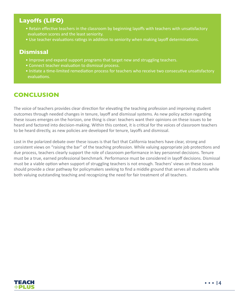# **Layoffs (LIFO)**

- Retain effective teachers in the classroom by beginning layoffs with teachers with unsatisfactory evaluation scores and the least seniority.
- Use teacher evaluations ratings in addition to seniority when making layoff determinations.

#### **Dismissal**

- Improve and expand support programs that target new and struggling teachers.
- Connect teacher evaluation to dismissal process.
- Initiate a time-limited remediation process for teachers who receive two consecutive unsatisfactory evaluations.

#### **CONCLUSION**

The voice of teachers provides clear direction for elevating the teaching profession and improving student outcomes through needed changes in tenure, layoff and dismissal systems. As new policy action regarding these issues emerges on the horizon, one thing is clear: teachers want their opinions on these issues to be heard and factored into decision-making. Within this context, it is critical for the voices of classroom teachers to be heard directly, as new policies are developed for tenure, layoffs and dismissal.

Lost in the polarized debate over these issues is that fact that California teachers have clear, strong and consistent views on "raising the bar" of the teaching profession. While valuing appropriate job protections and due process, teachers clearly support the role of classroom performance in key personnel decisions. Tenure must be a true, earned professional benchmark. Performance must be considered in layoff decisions. Dismissal must be a viable option when support of struggling teachers is not enough. Teachers' views on these issues should provide a clear pathway for policymakers seeking to find a middle ground that serves all students while both valuing outstanding teaching and recognizing the need for fair treatment of all teachers.

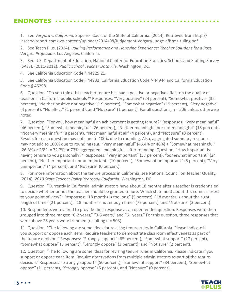#### **ENDNOTES**

1. See *Vergara v. California,* Superior Court of the State of California. (2014). Retrieved from http:// laschoolreport.com/wp-content/uploads/2014/08/Judgement-Vergara-Judge-affirms-ruling.pdf.

2. See Teach Plus. (2014). *Valuing Performance and Honoring Experience: Teacher Solutions for a Post-*Vergara *Profession.* Los Angeles, California.

3. See U.S. Department of Education, National Center for Education Statistics, Schools and Staffing Survey (SASS). (2011-2012). *Public School Teacher Data File.* Washington, DC.

4. See California Education Code § 44929.21.

5. See California Education Code § 44932, California Education Code § 44944 and California Education Code § 45298.

6. Question, "Do you think that teacher tenure has had a positive or negative effect on the quality of teachers in California public schools?" Responses: "Very positive" (24 percent), "Somewhat positive" (32 percent), "Neither positive nor negative" (19 percent), "Somewhat negative" (19 percent), "Very negative" (4 percent), "No effect" (1 percent), and "Not sure" (1 percent). For all questions, n = 506 unless otherwise noted.

7. Question, "For you, how meaningful an achievement is getting tenure?" Responses: "Very meaningful" (46 percent), "Somewhat meaningful" (26 percent), "Neither meaningful nor not meaningful" (15 percent), "Not very meaningful" (8 percent), "Not meaningful at all" (4 percent), and "Not sure" (0 percent). Results for each question may not sum to 100% due to rounding. Also, aggregated summary responses may not add to 100% due to rounding (e.g. "Very meaningful" (46.4% or 46%) + "Somewhat meaningful" (26.3% or 26%) = 72.7% or 73% aggregated "meaningful" after rounding. Question, "How important is having tenure to you personally?" Responses: "Very important" (57 percent), "Somewhat important" (24 percent), "Neither important nor unimportant" (10 percent), "Somewhat unimportant" (5 percent), "Very unimportant" (4 percent), and "Not sure" (0 percent).

8. For more information about the tenure process in California, see National Council on Teacher Quality. (2014). *2013 State Teacher Policy Yearbook California.* Washington, DC.

9. Question, "Currently in California, administrators have about 18 months after a teacher is credentialed to decide whether or not the teacher should be granted tenure. Which statement about this comes closest to your point of view?" Responses: "18 months is too long" (5 percent), "18 months is about the right length of time" (21 percent), "18 months is not enough time" (72 percent), and "Not sure" (3 percent).

10. Respondents were asked to provide their response as an open-ended question. Responses were then grouped into three ranges: "0-2 years," "3-5 years," and "6+ years." For this question, three responses that were above 25 years were trimmed (resulting n = 503).

11. Question, "The following are some ideas for revising tenure rules in California. Please indicate if you support or oppose each item. Require teachers to demonstrate classroom effectiveness as part of the tenure decision." Responses: "Strongly support" (65 percent), "Somewhat support" (27 percent), "Somewhat oppose" (3 percent), "Strongly oppose" (3 percent), and "Not sure" (2 percent).

12. Question, "The following are some ideas for revising tenure rules in California. Please indicate if you support or oppose each item. Require observations from multiple administrators as part of the tenure decision." Responses: "Strongly support" (50 percent), "Somewhat support" (34 percent), "Somewhat oppose" (11 percent), "Strongly oppose" (5 percent), and "Not sure" (0 percent).

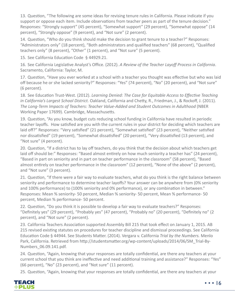13. Question, "The following are some ideas for revising tenure rules in California. Please indicate if you support or oppose each item. Include observations from teacher peers as part of the tenure decision." Responses: "Strongly support" (45 percent), "Somewhat support" (29 percent), "Somewhat oppose" (14 percent), "Strongly oppose" (9 percent), and "Not sure" (2 percent).

14. Question, "Who do you think should make the decision to grant tenure to a teacher?" Responses: "Administrators only" (18 percent), "Both administrators and qualified teachers" (68 percent), "Qualified teachers only" (8 percent), "Other" (1 percent), and "Not sure" (5 percent).

15. See California Education Code § 44929.21.

16. See California Legislative Analyst's Office. (2012). *A Review of the Teacher Layoff Process in California*. Sacramento, California: Taylor, M.

17. Question, "Have you ever worked at a school with a teacher you thought was effective but who was laid off because he or she lacked seniority?" Responses: "Yes" (74 percent), "No" (20 percent), and "Not sure" (6 percent).

18. See Education Trust-West. (2012). *Learning Denied: The Case for Equitable Access to Effective Teaching in California's Largest School District.* Oakland, California and Chetty, R., Friedman, J., & Rockoff, J. (2011). *The Long-Term Impacts of Teachers: Teacher Value-Added and Student Outcomes in Adulthood* (NBER Working Paper 17699). Cambridge, Massachusetts.

19. Question, "As you know, budget cuts reducing school funding in California have resulted in periodic teacher layoffs. How satisfied are you with the current rules in your district for deciding which teachers are laid off?" Responses: "Very satisfied" (21 percent), "Somewhat satisfied" (23 percent), "Neither satisfied nor dissatisfied" (19 percent), "Somewhat dissatisfied" (20 percent), "Very dissatisfied (13 percent), and "Not sure" (4 percent).

20. Question, "If a district has to lay off teachers, do you think that the decision about which teachers get laid off should be:" Responses: "Based almost entirely on how much seniority a teacher has" (24 percent), "Based in part on seniority and in part on teacher performance in the classroom" (58 percent), "Based almost entirely on teacher performance in the classroom" (12 percent), "None of the above" (2 percent), and "Not sure" (3 percent).

21. Question, "If there were a fair way to evaluate teachers, what do you think is the right balance between seniority and performance to determine teacher layoffs? Your answer can be anywhere from (0% seniority and 100% performance) to (100% seniority and 0% performance), or any combination in between." Responses: Mean % seniority- 50 percent, Median % seniority- 50 percent, Mean % performance- 50 percent, Median % performance- 50 percent.

22. Question, "Do you think it is possible to develop a fair way to evaluate teachers?" Responses: "Definitely yes" (29 percent), "Probably yes" (47 percent), "Probably no" (20 percent), "Definitely no" (2 percent), and "Not sure" (2 percent).

23. California Teachers Association supported Assembly Bill 215 that took effect on January 1, 2015. AB 215 revised existing statutes on procedures for teacher discipline and dismissal proceedings. See California Education Code § 44944. See Students Matter. (2014). Vergara v. California *Trial by the Numbers.* Menlo Park, California. Retrieved from http://studentsmatter.org/wp-content/uploads/2014/06/SM\_Trial-By-Numbers\_06.09.141.pdf.

24. Question, "Again, knowing that your responses are totally confidential, are there any teachers at your current school that you think are ineffective and need additional training and assistance?" Responses: "Yes" (66 percent), "No" (23 percent), and "Not sure" (11 percent).

25. Question, "Again, knowing that your responses are totally confidential, are there any teachers at your

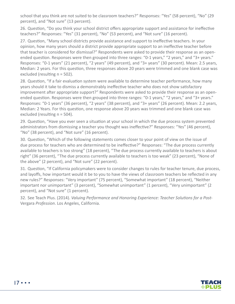school that you think are not suited to be classroom teachers?" Responses: "Yes" (58 percent), "No" (29 percent), and "Not sure" (13 percent).

26. Question, "Do you think your school district offers appropriate support and assistance for ineffective teachers?" Responses: "Yes" (31 percent), "No" (53 percent), and "Not sure" (16 percent).

27. Question, "Many school districts provide assistance and support to ineffective teachers. In your opinion, how many years should a district provide appropriate support to an ineffective teacher before that teacher is considered for dismissal?" Respondents were asked to provide their response as an openended question. Responses were then grouped into three ranges: "0-1 years," "2 years," and "3+ years." Responses: "0-1 years" (21 percent), "2 years" (49 percent), and "3+ years" (30 percent). Mean: 2.5 years, Median: 2 years. For this question, three responses above 20 years were trimmed and one blank case was excluded (resulting n = 502).

28. Question, "If a fair evaluation system were available to determine teacher performance, how many years should it take to dismiss a demonstrably ineffective teacher who does not show satisfactory improvement after appropriate support?" Respondents were asked to provide their response as an openended question. Responses were then grouped into three ranges: "0-1 years," "2 years," and "3+ years." Responses: "0-1 years" (36 percent), "2 years" (38 percent), and "3+ years" (26 percent). Mean: 2.2 years, Median: 2 Years. For this question, one response above 20 years was trimmed and one blank case was excluded (resulting n = 504).

29. Question, "Have you ever seen a situation at your school in which the due process system prevented administrators from dismissing a teacher you thought was ineffective?" Responses: "Yes" (46 percent), "No" (38 percent), and "Not sure" (16 percent).

30. Question, "Which of the following statements comes closer to your point of view on the issue of due process for teachers who are determined to be ineffective?" Responses: "The due process currently available to teachers is too strong" (18 percent), "The due process currently available to teachers is about right" (36 percent), "The due process currently available to teachers is too weak" (23 percent), "None of the above" (2 percent), and "Not sure" (22 percent).

31. Question, "If California policymakers were to consider changes to rules for teacher tenure, due process, and layoffs, how important would it be to you to have the views of classroom teachers be reflected in any new rules?" Responses: "Very important" (75 percent), "Somewhat important" (18 percent), "Neither important nor unimportant" (3 percent), "Somewhat unimportant" (1 percent), "Very unimportant" (2 percent), and "Not sure" (1 percent).

32. See Teach Plus. (2014). *Valuing Performance and Honoring Experience: Teacher Solutions for a Post-*Vergara *Profession*. Los Angeles, California.



17 • • •